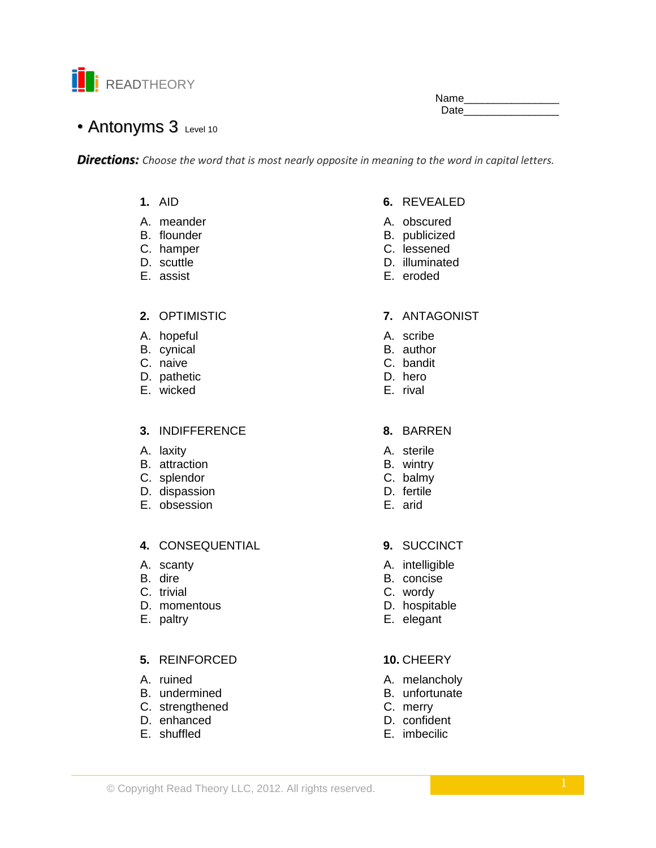

Name\_\_\_\_\_\_\_\_\_\_\_\_\_\_\_\_ Date **Date** 

# • Antonyms 3 Level 10

*Directions: Choose the word that is most nearly opposite in meaning to the word in capital letters.*

- **1.** AID
- A. meander
- B. flounder
- C. hamper
- D. scuttle
- E. assist

# **2.** OPTIMISTIC

- A. hopeful
- B. cynical
- C. naive
- D. pathetic
- E. wicked

### **3.** INDIFFERENCE

- A. laxity
- B. attraction
- C. splendor
- D. dispassion
- E. obsession

### **4.** CONSEQUENTIAL

- A. scanty
- B. dire
- C. trivial
- D. momentous
- E. paltry

# **5.** REINFORCED

- A. ruined
- B. undermined
- C. strengthened
- D. enhanced
- E. shuffled

# **6.** REVEALED

- A. obscured
- B. publicized
- C. lessened
- D. illuminated
- E. eroded

### **7.** ANTAGONIST

- A. scribe
- B. author
- C. bandit
- D. hero
- E. rival

### **8.** BARREN

- A. sterile
- B. wintry
- C. balmy
- D. fertile
- E. arid
- **9.** SUCCINCT
- A. intelligible
- B. concise
- C. wordy
- D. hospitable
- E. elegant

# **10.** CHEERY

- A. melancholy
- B. unfortunate
- C. merry
- D. confident
- E. imbecilic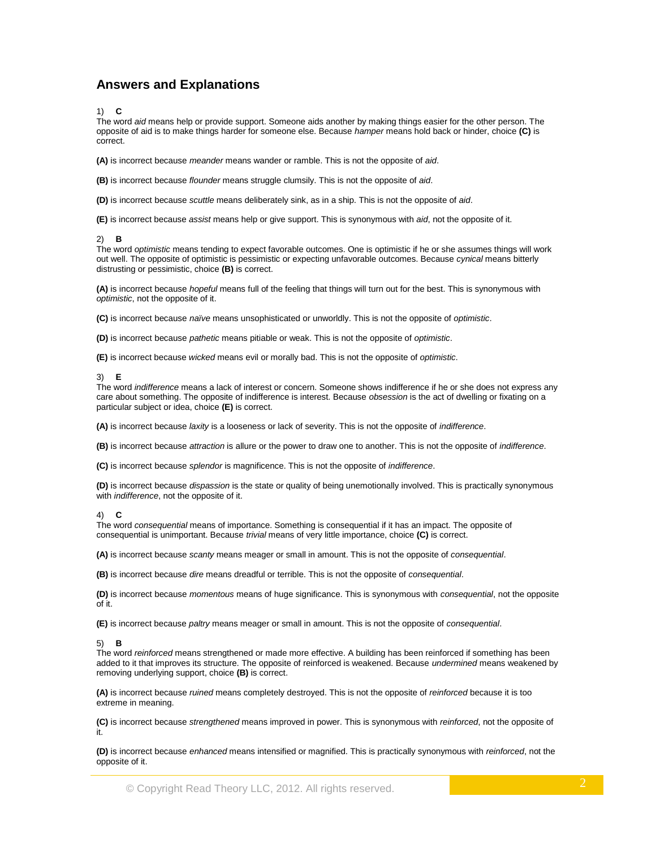# **Answers and Explanations**

#### 1) **C**

The word *aid* means help or provide support. Someone aids another by making things easier for the other person. The opposite of aid is to make things harder for someone else. Because *hamper* means hold back or hinder, choice **(C)** is correct.

**(A)** is incorrect because *meander* means wander or ramble. This is not the opposite of *aid*.

**(B)** is incorrect because *flounder* means struggle clumsily. This is not the opposite of *aid*.

**(D)** is incorrect because *scuttle* means deliberately sink, as in a ship. This is not the opposite of *aid*.

**(E)** is incorrect because *assist* means help or give support. This is synonymous with *aid*, not the opposite of it.

#### 2) **B**

The word *optimistic* means tending to expect favorable outcomes. One is optimistic if he or she assumes things will work out well. The opposite of optimistic is pessimistic or expecting unfavorable outcomes. Because *cynical* means bitterly distrusting or pessimistic, choice **(B)** is correct.

**(A)** is incorrect because *hopeful* means full of the feeling that things will turn out for the best. This is synonymous with *optimistic*, not the opposite of it.

**(C)** is incorrect because *naïve* means unsophisticated or unworldly. This is not the opposite of *optimistic*.

**(D)** is incorrect because *pathetic* means pitiable or weak. This is not the opposite of *optimistic*.

**(E)** is incorrect because *wicked* means evil or morally bad. This is not the opposite of *optimistic*.

#### 3) **E**

The word *indifference* means a lack of interest or concern. Someone shows indifference if he or she does not express any care about something. The opposite of indifference is interest. Because *obsession* is the act of dwelling or fixating on a particular subject or idea, choice **(E)** is correct.

**(A)** is incorrect because *laxity* is a looseness or lack of severity. This is not the opposite of *indifference*.

**(B)** is incorrect because *attraction* is allure or the power to draw one to another. This is not the opposite of *indifference*.

**(C)** is incorrect because *splendor* is magnificence. This is not the opposite of *indifference*.

**(D)** is incorrect because *dispassion* is the state or quality of being unemotionally involved. This is practically synonymous with *indifference*, not the opposite of it.

#### 4) **C**

The word *consequential* means of importance. Something is consequential if it has an impact. The opposite of consequential is unimportant. Because *trivial* means of very little importance, choice **(C)** is correct.

**(A)** is incorrect because *scanty* means meager or small in amount. This is not the opposite of *consequential*.

**(B)** is incorrect because *dire* means dreadful or terrible. This is not the opposite of *consequential*.

**(D)** is incorrect because *momentous* means of huge significance. This is synonymous with *consequential*, not the opposite of it.

**(E)** is incorrect because *paltry* means meager or small in amount. This is not the opposite of *consequential*.

#### 5) **B**

The word *reinforced* means strengthened or made more effective. A building has been reinforced if something has been added to it that improves its structure. The opposite of reinforced is weakened. Because *undermined* means weakened by removing underlying support, choice **(B)** is correct.

**(A)** is incorrect because *ruined* means completely destroyed. This is not the opposite of *reinforced* because it is too extreme in meaning.

**(C)** is incorrect because *strengthened* means improved in power. This is synonymous with *reinforced*, not the opposite of it.

**(D)** is incorrect because *enhanced* means intensified or magnified. This is practically synonymous with *reinforced*, not the opposite of it.